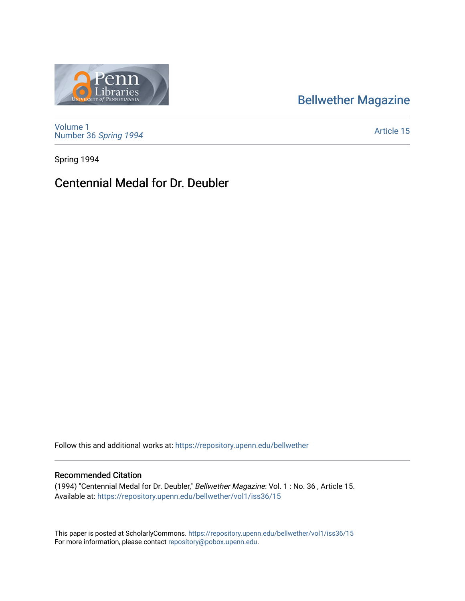# [Bellwether Magazine](https://repository.upenn.edu/bellwether)



[Volume 1](https://repository.upenn.edu/bellwether/vol1) [Number 36](https://repository.upenn.edu/bellwether/vol1/iss36) Spring 1994

[Article 15](https://repository.upenn.edu/bellwether/vol1/iss36/15) 

Spring 1994

### Centennial Medal for Dr. Deubler

Follow this and additional works at: [https://repository.upenn.edu/bellwether](https://repository.upenn.edu/bellwether?utm_source=repository.upenn.edu%2Fbellwether%2Fvol1%2Fiss36%2F15&utm_medium=PDF&utm_campaign=PDFCoverPages) 

### Recommended Citation

(1994) "Centennial Medal for Dr. Deubler," Bellwether Magazine: Vol. 1 : No. 36 , Article 15. Available at: [https://repository.upenn.edu/bellwether/vol1/iss36/15](https://repository.upenn.edu/bellwether/vol1/iss36/15?utm_source=repository.upenn.edu%2Fbellwether%2Fvol1%2Fiss36%2F15&utm_medium=PDF&utm_campaign=PDFCoverPages) 

This paper is posted at ScholarlyCommons.<https://repository.upenn.edu/bellwether/vol1/iss36/15> For more information, please contact [repository@pobox.upenn.edu.](mailto:repository@pobox.upenn.edu)